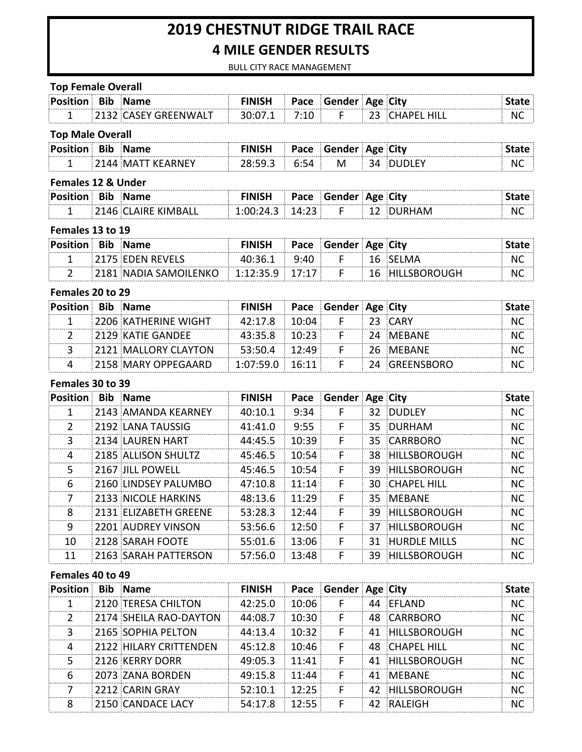# **2019 CHESTNUT RIDGE TRAIL RACE 4 MILE GENDER RESULTS**

BULL CITY RACE MANAGEMENT

#### **Top Female Overall**

| <b>Position Bib Name</b> |                                             | <b>FINISH Pace Gender Age City</b> |  |                  |    |
|--------------------------|---------------------------------------------|------------------------------------|--|------------------|----|
|                          | $-12132$ CASEY GREENWALT $-30:07.1$ $-7:10$ |                                    |  | E 193 CHAPFIHIII | N0 |

### **Top Male Overall**

| ∶Posit | <b>Rir</b> |  |  | חי         |        |     | City |  |
|--------|------------|--|--|------------|--------|-----|------|--|
| --     |            |  |  | <u>ь л</u> | м<br>. | - - |      |  |

#### **Females 12 & Under**

| ∶P∩ | к. |  | . | `ıtv |  |
|-----|----|--|---|------|--|
| -   |    |  |   |      |  |

### Females 13 to 19

| <b>Position Bib Name</b> |                                           | <b>FINISH</b> |      | <b>Pace Gender Age City</b> |     |                     |    |
|--------------------------|-------------------------------------------|---------------|------|-----------------------------|-----|---------------------|----|
|                          | 2175 EDEN REVELS                          | 40∙36.1       | 9:40 |                             |     | 16 SELMA            |    |
|                          | 181  NADIA SAMOILENKO   1:12:35.9   17:17 |               |      |                             | 16. | <b>HILLSBOROUGH</b> | Nι |

#### Females 20 to 29

| Position Bib Name |                             | <b>FINISH</b>     | <b>Pace Gender Age City</b> |                  |  |
|-------------------|-----------------------------|-------------------|-----------------------------|------------------|--|
|                   | <b>2206 KATHERINE WIGHT</b> | $42:17.8$ 10:04   |                             | 23 CARY          |  |
|                   | 2129 KATIE GANDEE           | $43.35.8$ 10.23   |                             | <b>24 MEBANE</b> |  |
|                   | 2121 MALLORY CLAYTON        | $53:50.4$ 12:49   |                             | - 26 MEBANE      |  |
|                   | <b>2158 MARY OPPEGAARD</b>  | $1:07:59.0$ 16:11 |                             | 24 GREENSBORO    |  |

### **Females 30 to 39**

| Position      | Bib | <b>Name</b>           | <b>FINISH</b> | Pace  | Gender Age City |     |                     | <b>State</b> |
|---------------|-----|-----------------------|---------------|-------|-----------------|-----|---------------------|--------------|
|               |     | 2143 AMANDA KFARNFY   | 40:10.1       | 9:34  | F               |     | 32 DUDLFY           | NC.          |
| $\mathcal{P}$ |     | 2192 LANA TAUSSIG     | 41:41.0       | 9:55  | F               |     | 35 DURHAM           | NC.          |
| 3             |     | i 2134 LAURFN HART    | 44:45.5       | 10:39 | F               |     | 35 CARRBORO         | NC.          |
| 4             |     | 2185 ALLISON SHULTZ   | 45:46.5       | 10:54 |                 |     | 38 HILLSBOROUGH     | NC.          |
| 5.            |     | 2167 III POWELL       | 45:46.5       | 10:54 | F               | 39. | <b>HILLSBOROUGH</b> | NC.          |
| 6             |     | 2160 LINDSFY PALUMBO  | 47:10.8       | 11:14 | F               |     | 30 CHAPFL HILL      | NC.          |
| 7             |     | 2133 NICOLF HARKINS   | 48:13.6       | 11:29 | F               |     | 35 MFBANF           | <b>NC</b>    |
| 8             |     | 2131 FLIZABETH GREENE | 53:28.3       | 12:44 | F               | 39. | <b>HILLSBOROUGH</b> | <b>NC</b>    |
| 9             |     | 2201 AUDREY VINSON    | 53:56.6       | 12:50 | F               | 37  | <b>HILLSBOROUGH</b> | NC.          |
| 10            |     | 2128 SARAH FOOTE      | 55:01.6       | 13:06 | F               | 31  | <b>HURDLF MILLS</b> | NC.          |
| 11            |     | 2163 SARAH PATTERSON  | 57:56.0       | 13:48 | F               | 39  | <b>HILLSBOROUGH</b> | NC.          |

#### **Females 40 to 49**

| <b>Position Bib Name</b> |                                                | <b>FINISH</b> |       | <b>Pace Gender Age City</b> |                 | itate |
|--------------------------|------------------------------------------------|---------------|-------|-----------------------------|-----------------|-------|
|                          | 2120 TERESA CHILTON                            | 42:25.0       | 10:06 |                             | 44 FFLAND       | NC.   |
|                          | $\parallel$ 2174 $\parallel$ SHEILA RAO-DAYTON | 44:08.7       | 10:30 |                             | 48 CARRBORO     | NC.   |
| 3                        | 2165 SOPHIA PELTON                             | 44:13.4       | 10:32 |                             | 41 HILLSBOROUGH | NC.   |
|                          | 2122 HILARY CRITTENDEN                         | 45:12.8       | 10:46 |                             | 48 CHAPEL HILL  | NC.   |
| 5                        | 2126 KFRRY DORR                                | 49:05.3       | 11.41 |                             | 41 HILLSBOROUGH | NC.   |
| 6                        | 2073 ZANA BORDEN                               | 49:15.8       | 11:44 |                             | 41 MFBANF       | NC.   |
|                          | 2212 CARIN GRAY                                | 52:10.1       | 12.25 |                             | 42 HILLSBOROUGH | NС    |
|                          | 2150 CANDACE LACY                              | 54:17.8       | 12.55 |                             | 42 RALFIGH      |       |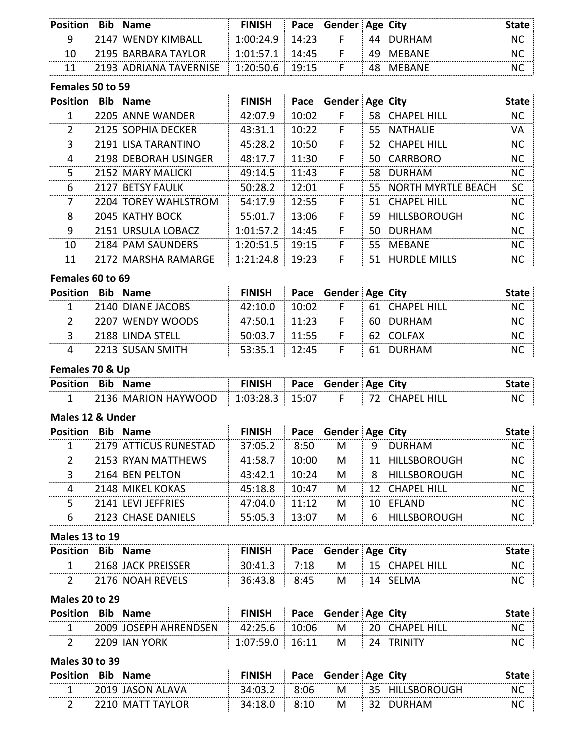| <b>Position Bib Name</b> |                                                     | <b>FINISH Pace Gender Age City</b> |  |           | лате : |
|--------------------------|-----------------------------------------------------|------------------------------------|--|-----------|--------|
|                          | 2147 WENDY KIMBALL!                                 | $1:00:24.9$ 14:23                  |  | 44 DURHAM |        |
| 10.                      | 2195 BARBARA TAYLOR                                 | $1:01:57.1$ 14:45                  |  | 49 MFRANF |        |
|                          | $11 = 2193$ ADRIANA TAVERNISE $= 1:20:50.6 = 19:15$ |                                    |  | 48 MFBANF |        |

### **Females 50 to 59**

| Position | <b>Bib</b> Name      | <b>FINISH</b>     |       | Pace Gender Age City |                       | <b>State</b> |
|----------|----------------------|-------------------|-------|----------------------|-----------------------|--------------|
|          | 2205 ANNE WANDER     | 42:07.9           | 10:02 |                      | 58 CHAPFL HILL        | NC.          |
| 2        | 2125 SOPHIA DECKER   | 43:31.1           | 10:22 | F                    | 55 NATHALIF           | VA           |
| 3        | 2191 LISA TARANTINO  | 45:28.2           | 10:50 | F                    | 52 CHAPEL HILL        | NC.          |
| 4        | 2198 DEBORAH USINGER | 48:17.7           | 11:30 | F                    | 50 CARRBORO           | NC.          |
| 5.       | 2152 MARY MALICKI    | 49:14.5           | 11:43 | F                    | 58 DURHAM             | NC.          |
| 6        | 2127 BETSY FAULK     | 50:28.2           | 12:01 | F                    | 55 NORTH MYRTLE BEACH | <b>SC</b>    |
| 7        | 2204 TOREY WAHLSTROM | 54:17.9           | 12:55 | F                    | 51 CHAPFL HILL        | NC.          |
| ጸ        | 2045 KATHY BOCK      | 55:01.7           | 13:06 | F                    | 59 HILLSBOROUGH       | NC.          |
| 9        | 2151 URSULA LOBACZ   | 1:01:57.2         | 14:45 | F                    | 50 DURHAM             | NC.          |
| 10       | 2184 PAM SAUNDERS    | $1:20:51.5$ 19:15 |       | F                    | 55 MFBANF             | NC.          |
| 11       | 2172 MARSHA RAMARGE  | 1:21:24.8         | 19:23 | F                    | 51 HURDLF MILLS       | <b>NC</b>    |

# **Females 60 to 69**

| Position Bib Name |                   | <b>FINISH Pace Gender Age City</b> |  |                  |  |
|-------------------|-------------------|------------------------------------|--|------------------|--|
|                   | 2140 DIANE JACOBS | $42:10.0$ 10:02                    |  | F 61 CHAPFL HILL |  |
|                   | 2207 WENDY WOODS  | $47:50.1$ 11:23                    |  | ⊟ 60. DURHAM.    |  |
|                   | 2188 LINDA STELL! | $50:03.7 \div 11:55 \div$          |  | 62 COLFAX        |  |
|                   | 2213 SUSAN SMITH  | $53:35.1$ 12:45                    |  | F 61 DURHAM      |  |

# Females 70 & Up

| <b>Position Bib Name</b> |                                                                                     | <b>FINISH Pace Gender Age City</b> |  |                  | <b>State</b> |
|--------------------------|-------------------------------------------------------------------------------------|------------------------------------|--|------------------|--------------|
|                          | $\parallel$ 2136 MARION HAYWOOD $\parallel$ 1:03:28.3 $\parallel$ 15:07 $\parallel$ |                                    |  | F 72 CHAPFL HILL | NC.          |

#### **Males 12 & Under**

| Position Bib Name |                                        | FINISH Pace Gender Age City |                        |   |    |                       |  |
|-------------------|----------------------------------------|-----------------------------|------------------------|---|----|-----------------------|--|
|                   | <b>2179 ATTICUS RUNESTAD</b>           | 37:05.2                     | 8:50<br><b>COLLEGE</b> | M | -9 | DURHAM                |  |
|                   | $\blacksquare$ 2153 $\,$ RYAN MATTHEWS | 41:58.7                     | $\pm 10:00$            | M |    | 11 HILLSBOROUGH       |  |
|                   | <b>E2164 BEN PELTON</b>                | $43:42.1$ 10:24             |                        | M | 8  | HILLSBOROUGH          |  |
|                   | 2148 MIKEL KOKAS                       | $45:18.8$ 10:47             |                        | М |    | <b>12 CHAPEL HILL</b> |  |
|                   | 2141 LEVI JFFFRIFS                     | $47:04.0$ 11:12             |                        | м |    | 10 FFIAND             |  |
|                   | <b>2123 CHASE DANIELS</b>              | $55:05.3$ 13:07             |                        | м | 6  | <b>HILLSBOROUGH</b>   |  |

## **Males 13 to 19**

| Position Bib Name |                    | <b>FINISH</b> |      | <b>Pace Gender Age City</b> |                  |    |
|-------------------|--------------------|---------------|------|-----------------------------|------------------|----|
|                   | 2168 JACK PREISSER | 30:41.3       | 7:18 |                             | M 15 CHAPEL HILL | NC |
|                   | 76 NOAH REVELS     | 36:43.8       | 8:45 | M                           | MA               | N  |

### **Males 20 to 29**

| Position Bib Name |                                                                        | <b>FINISH Pace Gender Age City</b> |  |  |     |
|-------------------|------------------------------------------------------------------------|------------------------------------|--|--|-----|
|                   | $\pm 2009$ JOSEPH AHRENDSEN $= 42.25.6 \pm 10.06$ M $= 20$ CHAPEL HILL |                                    |  |  | NC. |
|                   | $-2209$ JAN YORK                                                       | $1:07:59.0$ $16:11$ M 24 TRINITY   |  |  | N   |

# **Males 30 to 39**

| Position Bib Name |                     | FINISH |      | Pace Gender Age City |                   |    |
|-------------------|---------------------|--------|------|----------------------|-------------------|----|
|                   | ALAVA الماءَ 149. د |        | 8:06 |                      | M 35 HILLSBOROUGH | NC |
|                   | ∷MATT TAYI ∩R       |        | 8.10 |                      |                   |    |